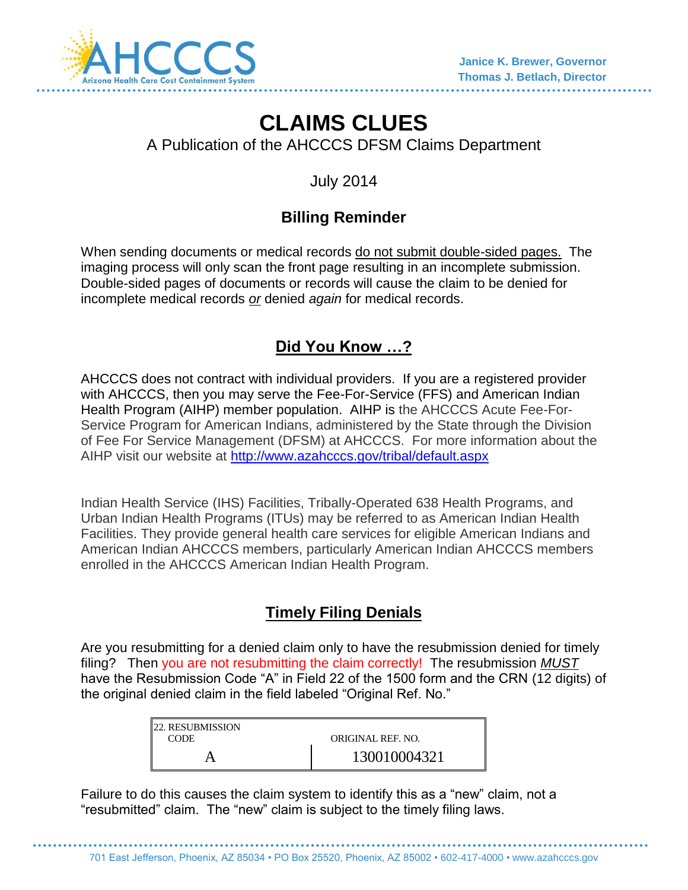

# **CLAIMS CLUES**

A Publication of the AHCCCS DFSM Claims Department

July 2014

## **Billing Reminder**

When sending documents or medical records do not submit double-sided pages. The imaging process will only scan the front page resulting in an incomplete submission. Double-sided pages of documents or records will cause the claim to be denied for incomplete medical records *or* denied *again* for medical records.

### **Did You Know …?**

AHCCCS does not contract with individual providers. If you are a registered provider with AHCCCS, then you may serve the Fee-For-Service (FFS) and American Indian Health Program (AIHP) member population. AIHP is the AHCCCS Acute Fee-For-Service Program for American Indians, administered by the State through the Division of Fee For Service Management (DFSM) at AHCCCS. For more information about the AIHP visit our website at<http://www.azahcccs.gov/tribal/default.aspx>

Indian Health Service (IHS) Facilities, Tribally-Operated 638 Health Programs, and Urban Indian Health Programs (ITUs) may be referred to as American Indian Health Facilities. They provide general health care services for eligible American Indians and American Indian AHCCCS members, particularly American Indian AHCCCS members enrolled in the AHCCCS American Indian Health Program.

#### **Timely Filing Denials**

Are you resubmitting for a denied claim only to have the resubmission denied for timely filing? Then you are not resubmitting the claim correctly! The resubmission *MUST* have the Resubmission Code "A" in Field 22 of the 1500 form and the CRN (12 digits) of the original denied claim in the field labeled "Original Ref. No."

| <b>22. RESUBMISSION</b> |                   |
|-------------------------|-------------------|
| <b>CODE</b>             | ORIGINAL REF. NO. |
|                         | 130010004321      |

Failure to do this causes the claim system to identify this as a "new" claim, not a "resubmitted" claim. The "new" claim is subject to the timely filing laws.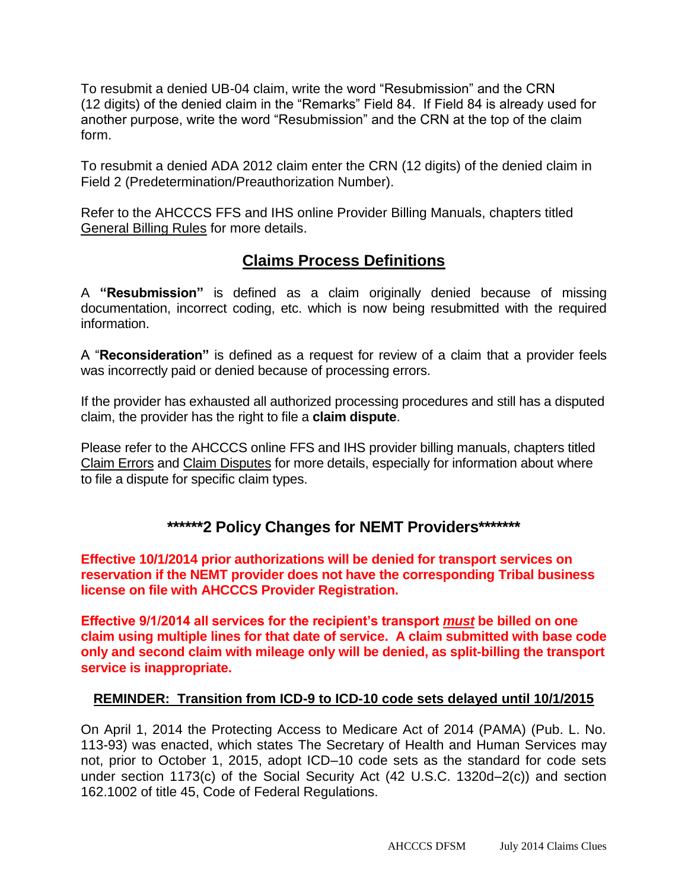To resubmit a denied UB-04 claim, write the word "Resubmission" and the CRN (12 digits) of the denied claim in the "Remarks" Field 84. If Field 84 is already used for another purpose, write the word "Resubmission" and the CRN at the top of the claim form.

To resubmit a denied ADA 2012 claim enter the CRN (12 digits) of the denied claim in Field 2 (Predetermination/Preauthorization Number).

Refer to the AHCCCS FFS and IHS online Provider Billing Manuals, chapters titled General Billing Rules for more details.

#### **Claims Process Definitions**

A **"Resubmission"** is defined as a claim originally denied because of missing documentation, incorrect coding, etc. which is now being resubmitted with the required information.

A "**Reconsideration"** is defined as a request for review of a claim that a provider feels was incorrectly paid or denied because of processing errors.

If the provider has exhausted all authorized processing procedures and still has a disputed claim, the provider has the right to file a **claim dispute**.

Please refer to the AHCCCS online FFS and IHS provider billing manuals, chapters titled Claim Errors and Claim Disputes for more details, especially for information about where to file a dispute for specific claim types.

#### **\*\*\*\*\*\*2 Policy Changes for NEMT Providers\*\*\*\*\*\*\***

**Effective 10/1/2014 prior authorizations will be denied for transport services on reservation if the NEMT provider does not have the corresponding Tribal business license on file with AHCCCS Provider Registration.**

**Effective 9/1/2014 all services for the recipient's transport** *must* **be billed on one claim using multiple lines for that date of service. A claim submitted with base code only and second claim with mileage only will be denied, as split-billing the transport service is inappropriate.**

#### **REMINDER: Transition from ICD-9 to ICD-10 code sets delayed until 10/1/2015**

On April 1, 2014 the Protecting Access to Medicare Act of 2014 (PAMA) (Pub. L. No. 113-93) was enacted, which states The Secretary of Health and Human Services may not, prior to October 1, 2015, adopt ICD–10 code sets as the standard for code sets under section 1173(c) of the Social Security Act (42 U.S.C. 1320d–2(c)) and section 162.1002 of title 45, Code of Federal Regulations.